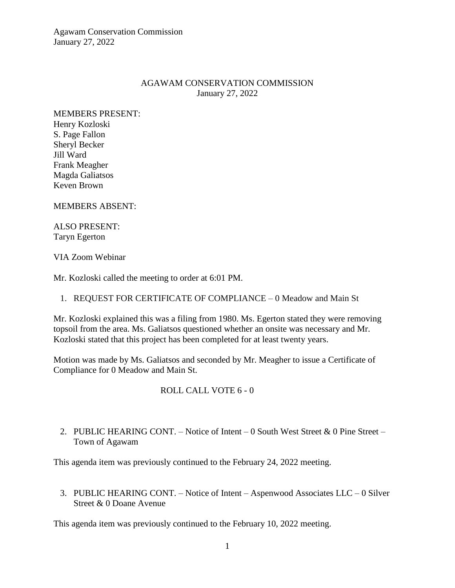Agawam Conservation Commission January 27, 2022

### AGAWAM CONSERVATION COMMISSION January 27, 2022

MEMBERS PRESENT: Henry Kozloski S. Page Fallon Sheryl Becker Jill Ward Frank Meagher Magda Galiatsos Keven Brown

MEMBERS ABSENT:

ALSO PRESENT: Taryn Egerton

#### VIA Zoom Webinar

Mr. Kozloski called the meeting to order at 6:01 PM.

1. REQUEST FOR CERTIFICATE OF COMPLIANCE – 0 Meadow and Main St

Mr. Kozloski explained this was a filing from 1980. Ms. Egerton stated they were removing topsoil from the area. Ms. Galiatsos questioned whether an onsite was necessary and Mr. Kozloski stated that this project has been completed for at least twenty years.

Motion was made by Ms. Galiatsos and seconded by Mr. Meagher to issue a Certificate of Compliance for 0 Meadow and Main St.

### ROLL CALL VOTE 6 - 0

2. PUBLIC HEARING CONT. – Notice of Intent – 0 South West Street & 0 Pine Street – Town of Agawam

This agenda item was previously continued to the February 24, 2022 meeting.

3. PUBLIC HEARING CONT. – Notice of Intent – Aspenwood Associates LLC – 0 Silver Street & 0 Doane Avenue

This agenda item was previously continued to the February 10, 2022 meeting.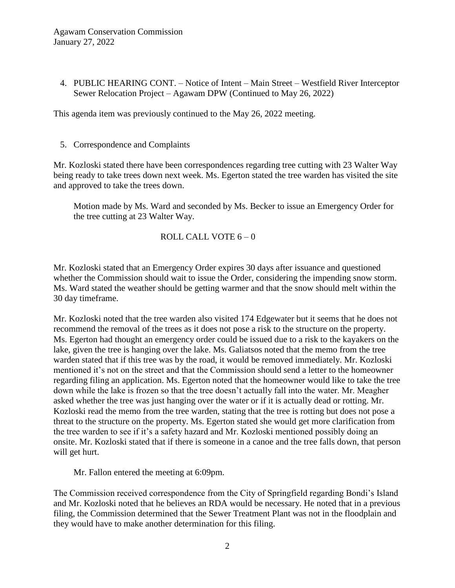4. PUBLIC HEARING CONT. – Notice of Intent – Main Street – Westfield River Interceptor Sewer Relocation Project – Agawam DPW (Continued to May 26, 2022)

This agenda item was previously continued to the May 26, 2022 meeting.

5. Correspondence and Complaints

Mr. Kozloski stated there have been correspondences regarding tree cutting with 23 Walter Way being ready to take trees down next week. Ms. Egerton stated the tree warden has visited the site and approved to take the trees down.

Motion made by Ms. Ward and seconded by Ms. Becker to issue an Emergency Order for the tree cutting at 23 Walter Way.

## ROLL CALL VOTE 6 – 0

Mr. Kozloski stated that an Emergency Order expires 30 days after issuance and questioned whether the Commission should wait to issue the Order, considering the impending snow storm. Ms. Ward stated the weather should be getting warmer and that the snow should melt within the 30 day timeframe.

Mr. Kozloski noted that the tree warden also visited 174 Edgewater but it seems that he does not recommend the removal of the trees as it does not pose a risk to the structure on the property. Ms. Egerton had thought an emergency order could be issued due to a risk to the kayakers on the lake, given the tree is hanging over the lake. Ms. Galiatsos noted that the memo from the tree warden stated that if this tree was by the road, it would be removed immediately. Mr. Kozloski mentioned it's not on the street and that the Commission should send a letter to the homeowner regarding filing an application. Ms. Egerton noted that the homeowner would like to take the tree down while the lake is frozen so that the tree doesn't actually fall into the water. Mr. Meagher asked whether the tree was just hanging over the water or if it is actually dead or rotting. Mr. Kozloski read the memo from the tree warden, stating that the tree is rotting but does not pose a threat to the structure on the property. Ms. Egerton stated she would get more clarification from the tree warden to see if it's a safety hazard and Mr. Kozloski mentioned possibly doing an onsite. Mr. Kozloski stated that if there is someone in a canoe and the tree falls down, that person will get hurt.

Mr. Fallon entered the meeting at 6:09pm.

The Commission received correspondence from the City of Springfield regarding Bondi's Island and Mr. Kozloski noted that he believes an RDA would be necessary. He noted that in a previous filing, the Commission determined that the Sewer Treatment Plant was not in the floodplain and they would have to make another determination for this filing.